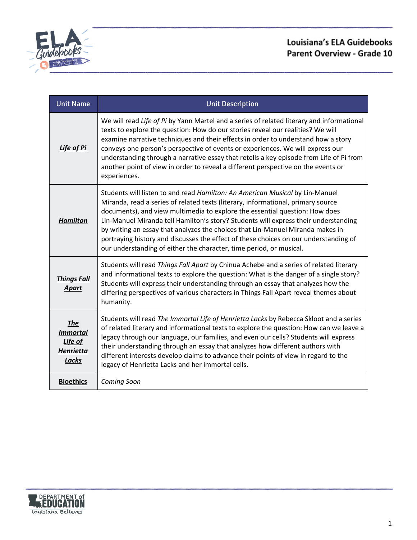

| <b>Unit Name</b>                                                                    | <b>Unit Description</b>                                                                                                                                                                                                                                                                                                                                                                                                                                                                                                                                                                 |
|-------------------------------------------------------------------------------------|-----------------------------------------------------------------------------------------------------------------------------------------------------------------------------------------------------------------------------------------------------------------------------------------------------------------------------------------------------------------------------------------------------------------------------------------------------------------------------------------------------------------------------------------------------------------------------------------|
| <b>Life of Pi</b>                                                                   | We will read Life of Pi by Yann Martel and a series of related literary and informational<br>texts to explore the question: How do our stories reveal our realities? We will<br>examine narrative techniques and their effects in order to understand how a story<br>conveys one person's perspective of events or experiences. We will express our<br>understanding through a narrative essay that retells a key episode from Life of Pi from<br>another point of view in order to reveal a different perspective on the events or<br>experiences.                                     |
| <b>Hamilton</b>                                                                     | Students will listen to and read Hamilton: An American Musical by Lin-Manuel<br>Miranda, read a series of related texts (literary, informational, primary source<br>documents), and view multimedia to explore the essential question: How does<br>Lin-Manuel Miranda tell Hamilton's story? Students will express their understanding<br>by writing an essay that analyzes the choices that Lin-Manuel Miranda makes in<br>portraying history and discusses the effect of these choices on our understanding of<br>our understanding of either the character, time period, or musical. |
| <b>Things Fall</b><br><b>Apart</b>                                                  | Students will read Things Fall Apart by Chinua Achebe and a series of related literary<br>and informational texts to explore the question: What is the danger of a single story?<br>Students will express their understanding through an essay that analyzes how the<br>differing perspectives of various characters in Things Fall Apart reveal themes about<br>humanity.                                                                                                                                                                                                              |
| <b>The</b><br><i><b>Immortal</b></i><br><u>Life of</u><br><b>Henrietta</b><br>Lacks | Students will read The Immortal Life of Henrietta Lacks by Rebecca Skloot and a series<br>of related literary and informational texts to explore the question: How can we leave a<br>legacy through our language, our families, and even our cells? Students will express<br>their understanding through an essay that analyzes how different authors with<br>different interests develop claims to advance their points of view in regard to the<br>legacy of Henrietta Lacks and her immortal cells.                                                                                  |
| <b>Bioethics</b>                                                                    | Coming Soon                                                                                                                                                                                                                                                                                                                                                                                                                                                                                                                                                                             |

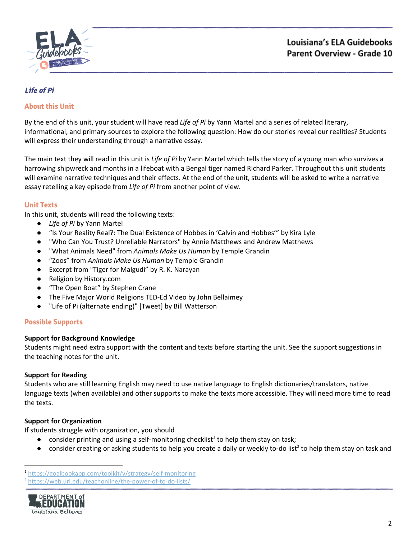

## <span id="page-1-0"></span>**Life of Pi**

### **About this Unit**

By the end of this unit, your student will have read *Life of Pi* by Yann Martel and a series of related literary, informational, and primary sources to explore the following question: How do our stories reveal our realities? Students will express their understanding through a narrative essay.

The main text they will read in this unit is *Life of Pi* by Yann Martel which tells the story of a young man who survives a harrowing shipwreck and months in a lifeboat with a Bengal tiger named RIchard Parker. Throughout this unit students will examine narrative techniques and their effects. At the end of the unit, students will be asked to write a narrative essay retelling a key episode from *Life of Pi* from another point of view.

#### **Unit Texts**

In this unit, students will read the following texts:

- *Life of Pi* by Yann Martel
- "Is Your Reality Real?: The Dual Existence of Hobbes in 'Calvin and Hobbes'" by Kira Lyle
- "Who Can You Trust? Unreliable Narrators" by Annie Matthews and Andrew Matthews
- "What Animals Need" from *Animals Make Us Human* by Temple Grandin
- "Zoos" from *Animals Make Us Human* by Temple Grandin
- Excerpt from "Tiger for Malgudi" by R. K. Narayan
- Religion by History.com
- "The Open Boat" by Stephen Crane
- The Five Major World Religions TED-Ed Video by John Bellaimey
- "Life of Pi (alternate ending)" [Tweet] by Bill Watterson

#### **Possible Supports**

#### **Support for Background Knowledge**

Students might need extra support with the content and texts before starting the unit. See the support suggestions in the teaching notes for the unit.

#### **Support for Reading**

Students who are still learning English may need to use native language to English dictionaries/translators, native language texts (when available) and other supports to make the texts more accessible. They will need more time to read the texts.

#### **Support for Organization**

If students struggle with organization, you should

- $\bullet$  consider printing and using a self-monitoring checklist<sup>1</sup> to help them stay on task;
- $\bullet$  consider creating or asking students to help you create a daily or weekly to-do list<sup>2</sup> to help them stay on task and

<sup>&</sup>lt;sup>2</sup> <https://web.uri.edu/teachonline/the-power-of-to-do-lists/>



<sup>1</sup> <https://goalbookapp.com/toolkit/v/strategy/self-monitoring>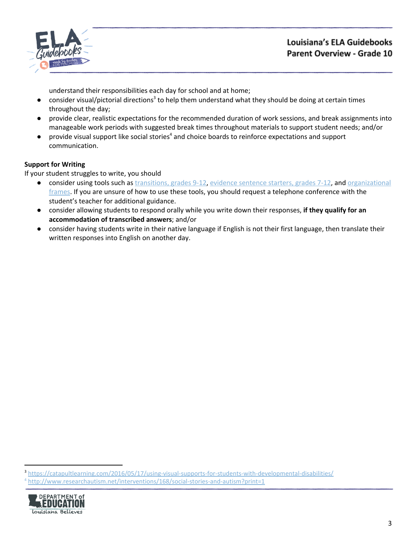

understand their responsibilities each day for school and at home;

- $\bullet$  consider visual/pictorial directions<sup>3</sup> to help them understand what they should be doing at certain times throughout the day;
- provide clear, realistic expectations for the recommended duration of work sessions, and break assignments into manageable work periods with suggested break times throughout materials to support student needs; and/or
- $\bullet$  provide visual support like social stories<sup>4</sup> and choice boards to reinforce expectations and support communication.

## **Support for Writing**

If your student struggles to write, you should

- consider using tools such as [transitions,](https://learnzillion.com/documents/157894/) grades 9-12, evidence [sentence](https://learnzillion.com/documents/157867/) starters, grades 7-12, and [organizational](https://learnzillion.com/resources/116858/) [frames](https://learnzillion.com/resources/116858/). If you are unsure of how to use these tools, you should request a telephone conference with the student's teacher for additional guidance.
- consider allowing students to respond orally while you write down their responses, **if they qualify for an accommodation of transcribed answers**; and/or
- **●** consider having students write in their native language if English is not their first language, then translate their written responses into English on another day.

<sup>3</sup> <https://catapultlearning.com/2016/05/17/using-visual-supports-for-students-with-developmental-disabilities/>

<sup>4</sup> <http://www.researchautism.net/interventions/168/social-stories-and-autism?print=1>

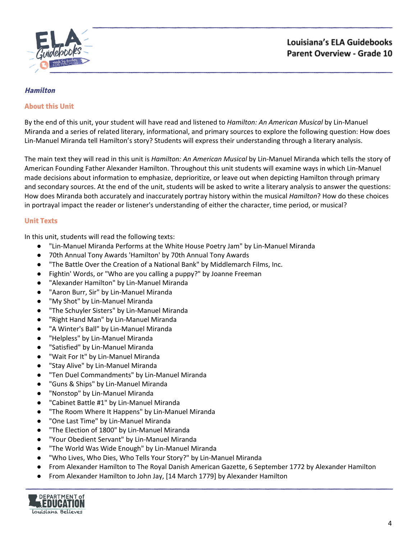

#### <span id="page-3-0"></span>**Hamilton**

### **About this Unit**

By the end of this unit, your student will have read and listened to *Hamilton: An American Musical* by Lin-Manuel Miranda and a series of related literary, informational, and primary sources to explore the following question: How does Lin-Manuel Miranda tell Hamilton's story? Students will express their understanding through a literary analysis.

The main text they will read in this unit is *Hamilton: An American Musical* by Lin-Manuel Miranda which tells the story of American Founding Father Alexander Hamilton. Throughout this unit students will examine ways in which Lin-Manuel made decisions about information to emphasize, deprioritize, or leave out when depicting Hamilton through primary and secondary sources. At the end of the unit, students will be asked to write a literary analysis to answer the questions: How does Miranda both accurately and inaccurately portray history within the musical *Hamilton*? How do these choices in portrayal impact the reader or listener's understanding of either the character, time period, or musical?

### **Unit Texts**

In this unit, students will read the following texts:

- "Lin-Manuel Miranda Performs at the White House Poetry Jam" by Lin-Manuel Miranda
- 70th Annual Tony Awards 'Hamilton' by 70th Annual Tony Awards
- "The Battle Over the Creation of a National Bank" by Middlemarch Films, Inc.
- Fightin' Words, or "Who are you calling a puppy?" by Joanne Freeman
- "Alexander Hamilton" by Lin-Manuel Miranda
- "Aaron Burr, Sir" by Lin-Manuel Miranda
- "My Shot" by Lin-Manuel Miranda
- "The Schuyler Sisters" by Lin-Manuel Miranda
- "Right Hand Man" by Lin-Manuel Miranda
- "A Winter's Ball" by Lin-Manuel Miranda
- "Helpless" by Lin-Manuel Miranda
- "Satisfied" by Lin-Manuel Miranda
- "Wait For It" by Lin-Manuel Miranda
- "Stay Alive" by Lin-Manuel Miranda
- "Ten Duel Commandments" by Lin-Manuel Miranda
- "Guns & Ships" by Lin-Manuel Miranda
- "Nonstop" by Lin-Manuel Miranda
- "Cabinet Battle #1" by Lin-Manuel Miranda
- "The Room Where It Happens" by Lin-Manuel Miranda
- "One Last Time" by Lin-Manuel Miranda
- "The Election of 1800" by Lin-Manuel Miranda
- "Your Obedient Servant" by Lin-Manuel Miranda
- "The World Was Wide Enough" by Lin-Manuel Miranda
- "Who Lives, Who Dies, Who Tells Your Story?" by Lin-Manuel Miranda
- From Alexander Hamilton to The Royal Danish American Gazette, 6 September 1772 by Alexander Hamilton
- From Alexander Hamilton to John Jay, [14 March 1779] by Alexander Hamilton

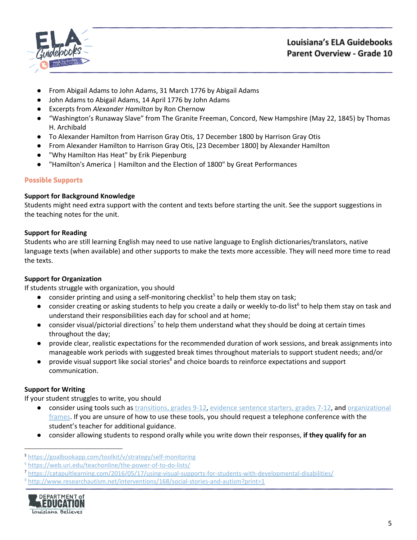

- From Abigail Adams to John Adams, 31 March 1776 by Abigail Adams
- John Adams to Abigail Adams, 14 April 1776 by John Adams
- Excerpts from *Alexander Hamilton* by Ron Chernow
- "Washington's Runaway Slave" from The Granite Freeman, Concord, New Hampshire (May 22, 1845) by Thomas H. Archibald
- To Alexander Hamilton from Harrison Gray Otis, 17 December 1800 by Harrison Gray Otis
- From Alexander Hamilton to Harrison Gray Otis, [23 December 1800] by Alexander Hamilton
- "Why Hamilton Has Heat" by Erik Piepenburg
- "Hamilton's America | Hamilton and the Election of 1800" by Great Performances

## **Possible Supports**

### **Support for Background Knowledge**

Students might need extra support with the content and texts before starting the unit. See the support suggestions in the teaching notes for the unit.

## **Support for Reading**

Students who are still learning English may need to use native language to English dictionaries/translators, native language texts (when available) and other supports to make the texts more accessible. They will need more time to read the texts.

## **Support for Organization**

If students struggle with organization, you should

- $\bullet$  consider printing and using a self-monitoring checklist<sup>5</sup> to help them stay on task;
- $\bullet$  consider creating or asking students to help you create a daily or weekly to-do list<sup>6</sup> to help them stay on task and understand their responsibilities each day for school and at home;
- $\bullet$  consider visual/pictorial directions<sup>7</sup> to help them understand what they should be doing at certain times throughout the day;
- provide clear, realistic expectations for the recommended duration of work sessions, and break assignments into manageable work periods with suggested break times throughout materials to support student needs; and/or
- provide visual support like social stories<sup>8</sup> and choice boards to reinforce expectations and support communication.

## **Support for Writing**

If your student struggles to write, you should

- consider using tools such as [transitions,](https://learnzillion.com/documents/157894/) grades 9-12, evidence [sentence](https://learnzillion.com/documents/157867/) starters, grades 7-12, and [organizational](https://learnzillion.com/resources/116858/) [frames](https://learnzillion.com/resources/116858/). If you are unsure of how to use these tools, you should request a telephone conference with the student's teacher for additional guidance.
- consider allowing students to respond orally while you write down their responses, **if they qualify for an**

<sup>8</sup> <http://www.researchautism.net/interventions/168/social-stories-and-autism?print=1>



<sup>5</sup> <https://goalbookapp.com/toolkit/v/strategy/self-monitoring>

<sup>6</sup> <https://web.uri.edu/teachonline/the-power-of-to-do-lists/>

<sup>7</sup> <https://catapultlearning.com/2016/05/17/using-visual-supports-for-students-with-developmental-disabilities/>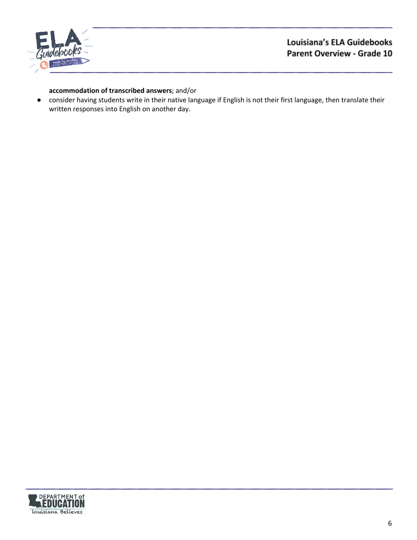

## **accommodation of transcribed answers**; and/or

**●** consider having students write in their native language if English is not their first language, then translate their written responses into English on another day.

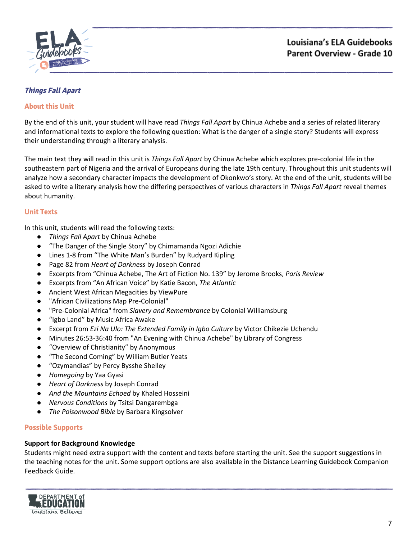

## <span id="page-6-0"></span>**Things Fall Apart**

## **About this Unit**

By the end of this unit, your student will have read *Things Fall Apart* by Chinua Achebe and a series of related literary and informational texts to explore the following question: What is the danger of a single story? Students will express their understanding through a literary analysis.

The main text they will read in this unit is *Things Fall Apart* by Chinua Achebe which explores pre-colonial life in the southeastern part of Nigeria and the arrival of Europeans during the late 19th century. Throughout this unit students will analyze how a secondary character impacts the development of Okonkwo's story. At the end of the unit, students will be asked to write a literary analysis how the differing perspectives of various characters in *Things Fall Apart* reveal themes about humanity.

#### **Unit Texts**

In this unit, students will read the following texts:

- *Things Fall Apart* by Chinua Achebe
- "The Danger of the Single Story" by Chimamanda Ngozi Adichie
- Lines 1-8 from "The White Man's Burden" by Rudyard Kipling
- Page 82 from *Heart of Darkness* by Joseph Conrad
- Excerpts from "Chinua Achebe, The Art of Fiction No. 139" by Jerome Brooks, *Paris Review*
- Excerpts from "An African Voice" by Katie Bacon, *The Atlantic*
- Ancient West African Megacities by ViewPure
- "African Civilizations Map Pre-Colonial"
- "Pre-Colonial Africa" from *Slavery and Remembrance* by Colonial Williamsburg
- "Igbo Land" by Music Africa Awake
- Excerpt from *Ezi Na Ulo: The Extended Family in Igbo Culture* by Victor Chikezie Uchendu
- Minutes 26:53-36:40 from "An Evening with Chinua Achebe" by Library of Congress
- "Overview of Christianity" by Anonymous
- "The Second Coming" by William Butler Yeats
- "Ozymandias" by Percy Bysshe Shelley
- *Homegoing* by Yaa Gyasi
- *Heart of Darkness* by Joseph Conrad
- *And the Mountains Echoed* by Khaled Hosseini
- *Nervous Conditions* by Tsitsi Dangarembga
- *The Poisonwood Bible* by Barbara Kingsolver

#### **Possible Supports**

#### **Support for Background Knowledge**

Students might need extra support with the content and texts before starting the unit. See the support suggestions in the teaching notes for the unit. Some support options are also available in the Distance Learning Guidebook Companion Feedback Guide.

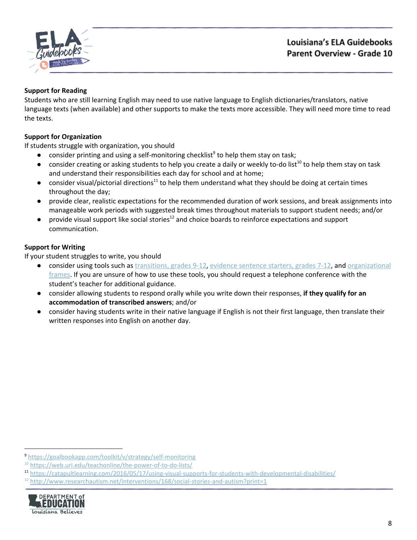

## **Support for Reading**

Students who are still learning English may need to use native language to English dictionaries/translators, native language texts (when available) and other supports to make the texts more accessible. They will need more time to read the texts.

## **Support for Organization**

If students struggle with organization, you should

- $\bullet$  consider printing and using a self-monitoring checklist<sup>9</sup> to help them stay on task;
- $\bullet$  consider creating or asking students to help you create a daily or weekly to-do list<sup>10</sup> to help them stay on task and understand their responsibilities each day for school and at home;
- consider visual/pictorial directions<sup>11</sup> to help them understand what they should be doing at certain times throughout the day;
- provide clear, realistic expectations for the recommended duration of work sessions, and break assignments into manageable work periods with suggested break times throughout materials to support student needs; and/or
- $\bullet$  provide visual support like social stories<sup>12</sup> and choice boards to reinforce expectations and support communication.

## **Support for Writing**

If your student struggles to write, you should

- consider using tools such as [transitions,](https://learnzillion.com/documents/157894/) grades 9-12, evidence [sentence](https://learnzillion.com/documents/157867/) starters, grades 7-12, and [organizational](https://learnzillion.com/resources/116858/) [frames](https://learnzillion.com/resources/116858/). If you are unsure of how to use these tools, you should request a telephone conference with the student's teacher for additional guidance.
- consider allowing students to respond orally while you write down their responses, **if they qualify for an accommodation of transcribed answers**; and/or
- **●** consider having students write in their native language if English is not their first language, then translate their written responses into English on another day.

 $12$  <http://www.researchautism.net/interventions/168/social-stories-and-autism?print=1>



<sup>9</sup> <https://goalbookapp.com/toolkit/v/strategy/self-monitoring>

<sup>&</sup>lt;sup>10</sup> <https://web.uri.edu/teachonline/the-power-of-to-do-lists/>

<sup>11</sup> <https://catapultlearning.com/2016/05/17/using-visual-supports-for-students-with-developmental-disabilities/>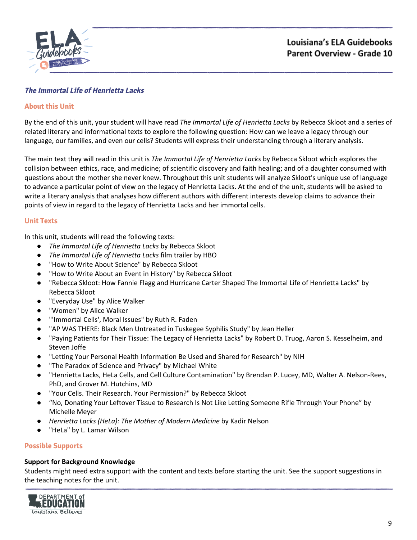

## <span id="page-8-0"></span>**The Immortal Life of Henrietta Lacks**

### **About this Unit**

By the end of this unit, your student will have read *The Immortal Life of Henrietta Lacks* by Rebecca Skloot and a series of related literary and informational texts to explore the following question: How can we leave a legacy through our language, our families, and even our cells? Students will express their understanding through a literary analysis.

The main text they will read in this unit is *The Immortal Life of Henrietta Lacks* by Rebecca Skloot which explores the collision between ethics, race, and medicine; of scientific discovery and faith healing; and of a daughter consumed with questions about the mother she never knew. Throughout this unit students will analyze Skloot's unique use of language to advance a particular point of view on the legacy of Henrietta Lacks. At the end of the unit, students will be asked to write a literary analysis that analyses how different authors with different interests develop claims to advance their points of view in regard to the legacy of Henrietta Lacks and her immortal cells.

### **Unit Texts**

In this unit, students will read the following texts:

- *The Immortal Life of Henrietta Lacks* by Rebecca Skloot
- *The Immortal Life of Henrietta Lacks* film trailer by HBO
- "How to Write About Science" by Rebecca Skloot
- "How to Write About an Event in History" by Rebecca Skloot
- "Rebecca Skloot: How Fannie Flagg and Hurricane Carter Shaped The Immortal Life of Henrietta Lacks" by Rebecca Skloot
- "Everyday Use" by Alice Walker
- "Women" by Alice Walker
- "'Immortal Cells', Moral Issues" by Ruth R. Faden
- "AP WAS THERE: Black Men Untreated in Tuskegee Syphilis Study" by Jean Heller
- "Paying Patients for Their Tissue: The Legacy of Henrietta Lacks" by Robert D. Truog, Aaron S. Kesselheim, and Steven Joffe
- "Letting Your Personal Health Information Be Used and Shared for Research" by NIH
- "The Paradox of Science and Privacy" by Michael White
- "Henrietta Lacks, HeLa Cells, and Cell Culture Contamination" by Brendan P. Lucey, MD, Walter A. Nelson-Rees, PhD, and Grover M. Hutchins, MD
- "Your Cells. Their Research. Your Permission?" by Rebecca Skloot
- "No, Donating Your Leftover Tissue to Research Is Not Like Letting Someone Rifle Through Your Phone" by Michelle Meyer
- *Henrietta Lacks (HeLa): The Mother of Modern Medicine* by Kadir Nelson
- "HeLa" by L. Lamar Wilson

#### **Possible Supports**

#### **Support for Background Knowledge**

Students might need extra support with the content and texts before starting the unit. See the support suggestions in the teaching notes for the unit.

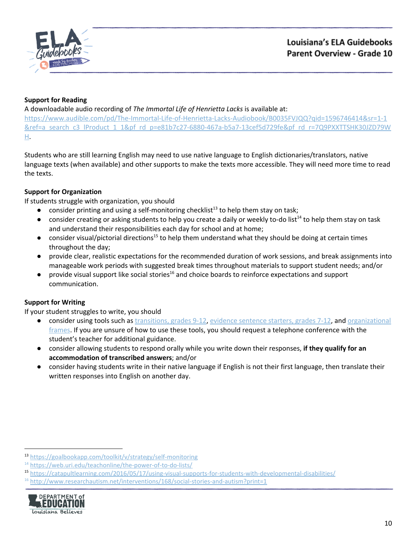

## **Support for Reading**

A downloadable audio recording of *The Immortal Life of Henrietta Lacks* is available at: [https://www.audible.com/pd/The-Immortal-Life-of-Henrietta-Lacks-Audiobook/B0035FVJQQ?qid=1596746414&sr=1-1](https://www.audible.com/pd/The-Immortal-Life-of-Henrietta-Lacks-Audiobook/B0035FVJQQ?qid=1596746414&sr=1-1&ref=a_search_c3_lProduct_1_1&pf_rd_p=e81b7c27-6880-467a-b5a7-13cef5d729fe&pf_rd_r=7Q9PXXTTSHK30JZD79WH) [&ref=a\\_search\\_c3\\_lProduct\\_1\\_1&pf\\_rd\\_p=e81b7c27-6880-467a-b5a7-13cef5d729fe&pf\\_rd\\_r=7Q9PXXTTSHK30JZD79W](https://www.audible.com/pd/The-Immortal-Life-of-Henrietta-Lacks-Audiobook/B0035FVJQQ?qid=1596746414&sr=1-1&ref=a_search_c3_lProduct_1_1&pf_rd_p=e81b7c27-6880-467a-b5a7-13cef5d729fe&pf_rd_r=7Q9PXXTTSHK30JZD79WH) [H.](https://www.audible.com/pd/The-Immortal-Life-of-Henrietta-Lacks-Audiobook/B0035FVJQQ?qid=1596746414&sr=1-1&ref=a_search_c3_lProduct_1_1&pf_rd_p=e81b7c27-6880-467a-b5a7-13cef5d729fe&pf_rd_r=7Q9PXXTTSHK30JZD79WH)

Students who are still learning English may need to use native language to English dictionaries/translators, native language texts (when available) and other supports to make the texts more accessible. They will need more time to read the texts.

## **Support for Organization**

If students struggle with organization, you should

- $\bullet$  consider printing and using a self-monitoring checklist<sup>13</sup> to help them stay on task;
- $\bullet$  consider creating or asking students to help you create a daily or weekly to-do list<sup>14</sup> to help them stay on task and understand their responsibilities each day for school and at home;
- $\bullet$  consider visual/pictorial directions<sup>15</sup> to help them understand what they should be doing at certain times throughout the day;
- provide clear, realistic expectations for the recommended duration of work sessions, and break assignments into manageable work periods with suggested break times throughout materials to support student needs; and/or
- $\bullet$  provide visual support like social stories<sup>16</sup> and choice boards to reinforce expectations and support communication.

## **Support for Writing**

If your student struggles to write, you should

- consider using tools such as [transitions,](https://learnzillion.com/documents/157894/) grades 9-12, evidence [sentence](https://learnzillion.com/documents/157867/) starters, grades 7-12, and [organizational](https://learnzillion.com/resources/116858/) [frames](https://learnzillion.com/resources/116858/). If you are unsure of how to use these tools, you should request a telephone conference with the student's teacher for additional guidance.
- consider allowing students to respond orally while you write down their responses, **if they qualify for an accommodation of transcribed answers**; and/or
- **●** consider having students write in their native language if English is not their first language, then translate their written responses into English on another day.

 $16$  <http://www.researchautism.net/interventions/168/social-stories-and-autism?print=1>



<sup>13</sup> <https://goalbookapp.com/toolkit/v/strategy/self-monitoring>

<sup>&</sup>lt;sup>14</sup> <https://web.uri.edu/teachonline/the-power-of-to-do-lists/>

<sup>15</sup> <https://catapultlearning.com/2016/05/17/using-visual-supports-for-students-with-developmental-disabilities/>